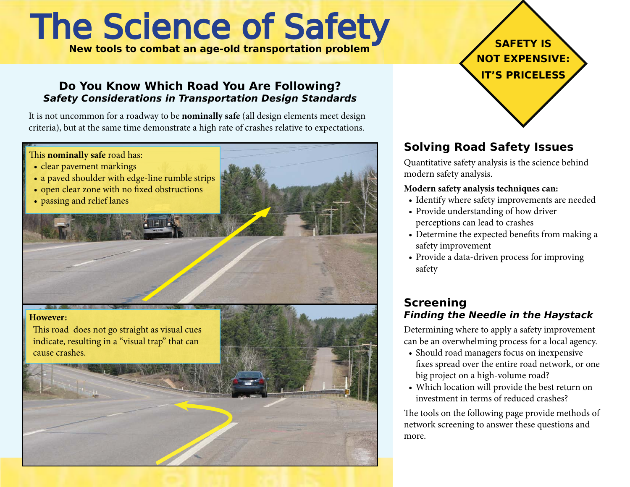# The Science of Safety

**New tools to combat an age-old transportation problem**

#### **Do You Know Which Road You Are Following? Safety Considerations in Transportation Design Standards**

It is not uncommon for a roadway to be **nominally safe** (all design elements meet design criteria), but at the same time demonstrate a high rate of crashes relative to expectations*.*

**However:** This road does not go straight as visual cues indicate, resulting in a "visual trap" that can cause crashes. This **nominally safe** road has: • clear pavement markings • a paved shoulder with edge-line rumble strips • open clear zone with no fixed obstructions • passing and relief lanes



## **Solving Road Safety Issues**

Quantitative safety analysis is the science behind modern safety analysis.

#### **Modern safety analysis techniques can:**

- Identify where safety improvements are needed
- Provide understanding of how driver perceptions can lead to crashes
- • Determine the expected benefits from making a safety improvement
- Provide a data-driven process for improving safety

### **Screening Finding the Needle in the Haystack**

Determining where to apply a safety improvement can be an overwhelming process for a local agency.

- Should road managers focus on inexpensive fixes spread over the entire road network, or one big project on a high-volume road?
- • Which location will provide the best return on investment in terms of reduced crashes?

The tools on the following page provide methods of network screening to answer these questions and more.